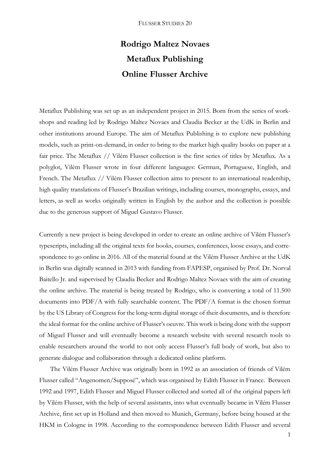## **Rodrigo Maltez Novaes Metaflux Publishing Online Flusser Archive**

Metaflux Publishing was set up as an independent project in 2015. Born from the series of workshops and reading led by Rodrigo Maltez Novaes and Claudia Becker at the UdK in Berlin and other institutions around Europe. The aim of Metaflux Publishing is to explore new publishing models, such as print-on-demand, in order to bring to the market high quality books on paper at a fair price. The Metaflux // Vilém Flusser collection is the first series of titles by Metaflux. As a polyglot, Vilém Flusser wrote in four different languages: German, Portuguese, English, and French. The Metaflux // Vilém Flusser collection aims to present to an international readership, high quality translations of Flusser's Brazilian writings, including courses, monographs, essays, and letters, as well as works originally written in English by the author and the collection is possible due to the generous support of Miguel Gustavo Flusser.

Currently a new project is being developed in order to create an online archive of Vilém Flusser's typescripts, including all the original texts for books, courses, conferences, loose essays, and correspondence to go online in 2016. All of the material found at the Vilém Flusser Archive at the UdK in Berlin was digitally scanned in 2013 with funding from FAPESP, organised by Prof. Dr. Norval Baitello Jr. and supervised by Claudia Becker and Rodrigo Maltez Novaes with the aim of creating the online archive. The material is being treated by Rodrigo, who is converting a total of 11.500 documents into PDF/A with fully searchable content. The PDF/A format is the chosen format by the US Library of Congress for the long-term digital storage of their documents, and is therefore the ideal format for the online archive of Flusser's oeuvre. This work is being done with the support of Miguel Flusser and will eventually become a research website with several research tools to enable researchers around the world to not only access Flusser's full body of work, but also to generate dialogue and collaboration through a dedicated online platform.

The Vilém Flusser Archive was originally born in 1992 as an association of friends of Vilém Flusser called "Angenomen/Supposé", which was organised by Edith Flusser in France. Between 1992 and 1997, Edith Flusser and Miguel Flusser collected and sorted all of the original papers left by Vilém Flusser, with the help of several assistants, into what eventually became in Vilém Flusser Archive, first set up in Holland and then moved to Munich, Germany, before being housed at the HKM in Cologne in 1998. According to the correspondence between Edith Flusser and several